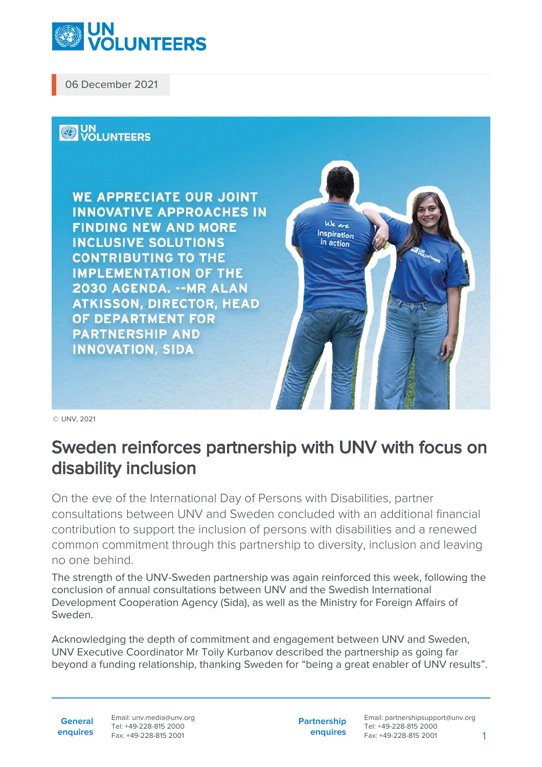

06 December 2021



© UNV, 2021

## Sweden reinforces partnership with UNV with focus on disability inclusion

On the eve of the International Day of Persons with Disabilities, partner consultations between UNV and Sweden concluded with an additional financial contribution to support the inclusion of persons with disabilities and a renewed common commitment through this partnership to diversity, inclusion and leaving no one behind.

The strength of the UNV-Sweden partnership was again reinforced this week, following the conclusion of annual consultations between UNV and the Swedish International Development Cooperation Agency (Sida), as well as the Ministry for Foreign Affairs of Sweden.

Acknowledging the depth of commitment and engagement between UNV and Sweden, UNV Executive Coordinator Mr Toily Kurbanov described the partnership as going far beyond a funding relationship, thanking Sweden for "being a great enabler of UNV results".

**General enquires** Email: unv.media@unv.org Tel: +49-228-815 2000 Fax: +49-228-815 2001

**Partnership enquires** Email: partnershipsupport@unv.org Tel: +49-228-815 2000 Fax: +49-228-815 2001 1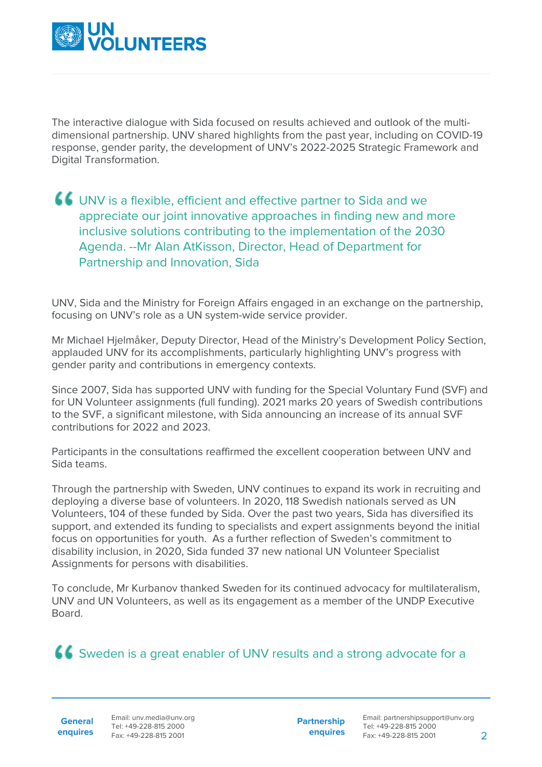

The interactive dialogue with Sida focused on results achieved and outlook of the multidimensional partnership. UNV shared highlights from the past year, including on COVID-19 response, gender parity, the development of UNV's 2022-2025 Strategic Framework and Digital Transformation.

UNV is a flexible, efficient and effective partner to Sida and we appreciate our joint innovative approaches in finding new and more inclusive solutions contributing to the implementation of the 2030 Agenda. --Mr Alan AtKisson, Director, Head of Department for Partnership and Innovation, Sida

UNV, Sida and the Ministry for Foreign Affairs engaged in an exchange on the partnership, focusing on UNV's role as a UN system-wide service provider.

Mr Michael Hjelmåker, Deputy Director, Head of the Ministry's Development Policy Section, applauded UNV for its accomplishments, particularly highlighting UNV's progress with gender parity and contributions in emergency contexts.

Since 2007, Sida has supported UNV with funding for the Special Voluntary Fund (SVF) and for UN Volunteer assignments (full funding). 2021 marks 20 years of Swedish contributions to the SVF, a significant milestone, with Sida announcing an increase of its annual SVF contributions for 2022 and 2023.

Participants in the consultations reaffirmed the excellent cooperation between UNV and Sida teams.

Through the partnership with Sweden, UNV continues to expand its work in recruiting and deploying a diverse base of volunteers. In 2020, 118 Swedish nationals served as UN Volunteers, 104 of these funded by Sida. Over the past two years, Sida has diversified its support, and extended its funding to specialists and expert assignments beyond the initial focus on opportunities for youth. As a further reflection of Sweden's commitment to disability inclusion, in 2020, Sida funded 37 new national UN Volunteer Specialist Assignments for persons with disabilities.

To conclude, Mr Kurbanov thanked Sweden for its continued advocacy for multilateralism, UNV and UN Volunteers, as well as its engagement as a member of the UNDP Executive Board.

## **CC** Sweden is a great enabler of UNV results and a strong advocate for a

**General enquires** Email: unv.media@unv.org Tel: +49-228-815 2000 Fax: +49-228-815 2001

**Partnership enquires**

Email: partnershipsupport@unv.org Tel: +49-228-815 2000 Fax: +49-228-815 2001 2